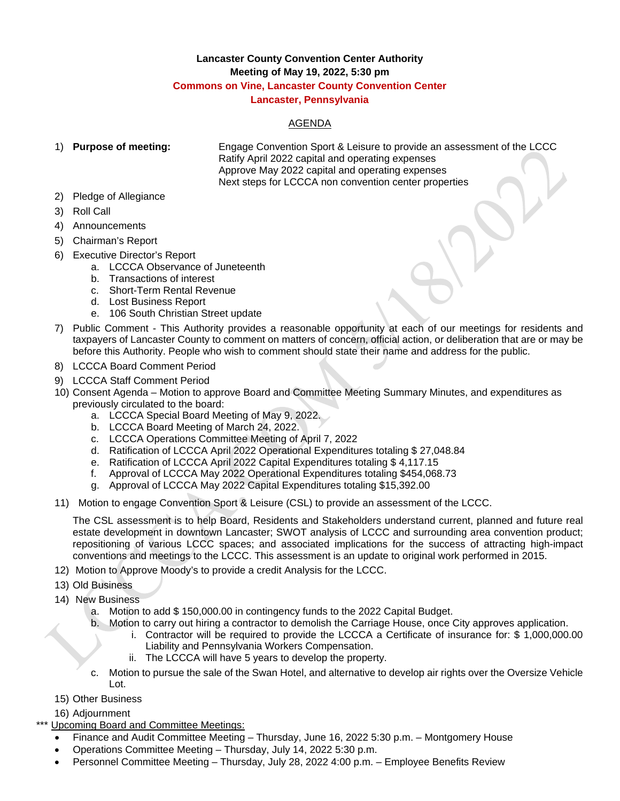## **Lancaster County Convention Center Authority Meeting of May 19, 2022, 5:30 pm Commons on Vine, Lancaster County Convention Center Lancaster, Pennsylvania**

## AGENDA

1) **Purpose of meeting:** Engage Convention Sport & Leisure to provide an assessment of the LCCC Ratify April 2022 capital and operating expenses Approve May 2022 capital and operating expenses Next steps for LCCCA non convention center properties

- 2) Pledge of Allegiance
- 3) Roll Call
- 4) Announcements
- 5) Chairman's Report
- 6) Executive Director's Report
	- a. LCCCA Observance of Juneteenth
	- b. Transactions of interest
	- c. Short-Term Rental Revenue
	- d. Lost Business Report
	- e. 106 South Christian Street update
- 7) Public Comment This Authority provides a reasonable opportunity at each of our meetings for residents and taxpayers of Lancaster County to comment on matters of concern, official action, or deliberation that are or may be before this Authority. People who wish to comment should state their name and address for the public.
- 8) LCCCA Board Comment Period
- 9) LCCCA Staff Comment Period
- 10) Consent Agenda Motion to approve Board and Committee Meeting Summary Minutes, and expenditures as previously circulated to the board:
	- a. LCCCA Special Board Meeting of May 9, 2022.
	- b. LCCCA Board Meeting of March 24, 2022.
	- c. LCCCA Operations Committee Meeting of April 7, 2022
	- d. Ratification of LCCCA April 2022 Operational Expenditures totaling \$ 27,048.84
	- e. Ratification of LCCCA April 2022 Capital Expenditures totaling \$ 4,117.15
	- f. Approval of LCCCA May 2022 Operational Expenditures totaling \$454,068.73
	- g. Approval of LCCCA May 2022 Capital Expenditures totaling \$15,392.00
- 11) Motion to engage Convention Sport & Leisure (CSL) to provide an assessment of the LCCC.

The CSL assessment is to help Board, Residents and Stakeholders understand current, planned and future real estate development in downtown Lancaster; SWOT analysis of LCCC and surrounding area convention product; repositioning of various LCCC spaces; and associated implications for the success of attracting high-impact conventions and meetings to the LCCC. This assessment is an update to original work performed in 2015.

- 12) Motion to Approve Moody's to provide a credit Analysis for the LCCC.
- 13) Old Business
- 14) New Business
	- a. Motion to add \$ 150,000.00 in contingency funds to the 2022 Capital Budget.
	- b. Motion to carry out hiring a contractor to demolish the Carriage House, once City approves application.
		- i. Contractor will be required to provide the LCCCA a Certificate of insurance for: \$ 1,000,000.00 Liability and Pennsylvania Workers Compensation.
		- ii. The LCCCA will have 5 years to develop the property.
	- c. Motion to pursue the sale of the Swan Hotel, and alternative to develop air rights over the Oversize Vehicle Lot.
- 15) Other Business
- 16) Adjournment

Upcoming Board and Committee Meetings:

- Finance and Audit Committee Meeting Thursday, June 16, 2022 5:30 p.m. Montgomery House
- Operations Committee Meeting Thursday, July 14, 2022 5:30 p.m.
- Personnel Committee Meeting Thursday, July 28, 2022 4:00 p.m. Employee Benefits Review